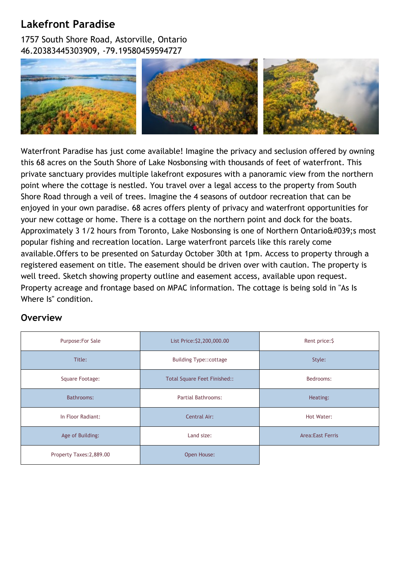## **Lakefront Paradise**

1757 South Shore Road, Astorville, Ontario 46.20383445303909, -79.19580459594727



Waterfront Paradise has just come available! Imagine the privacy and seclusion offered by owning this 68 acres on the South Shore of Lake Nosbonsing with thousands of feet of waterfront. This private sanctuary provides multiple lakefront exposures with a panoramic view from the northern point where the cottage is nestled. You travel over a legal access to the property from South Shore Road through a veil of trees. Imagine the 4 seasons of outdoor recreation that can be enjoyed in your own paradise. 68 acres offers plenty of privacy and waterfront opportunities for your new cottage or home. There is a cottage on the northern point and dock for the boats. Approximately 3 1/2 hours from Toronto, Lake Nosbonsing is one of Northern Ontario $\frac{4039}{55}$  most popular fishing and recreation location. Large waterfront parcels like this rarely come available.Offers to be presented on Saturday October 30th at 1pm. Access to property through a registered easement on title. The easement should be driven over with caution. The property is well treed. Sketch showing property outline and easement access, available upon request. Property acreage and frontage based on MPAC information. The cottage is being sold in "As Is Where Is" condition.

## **Overview**

| Purpose: For Sale        | List Price: \$2,200,000.00   | Rent price: \$          |
|--------------------------|------------------------------|-------------------------|
| Title:                   | Building Type:: cottage      | Style:                  |
| Square Footage:          | Total Square Feet Finished:: | Bedrooms:               |
| Bathrooms:               | <b>Partial Bathrooms:</b>    | Heating:                |
| In Floor Radiant:        | Central Air:                 | Hot Water:              |
| Age of Building:         | Land size:                   | <b>Area:East Ferris</b> |
| Property Taxes: 2,889.00 | Open House:                  |                         |